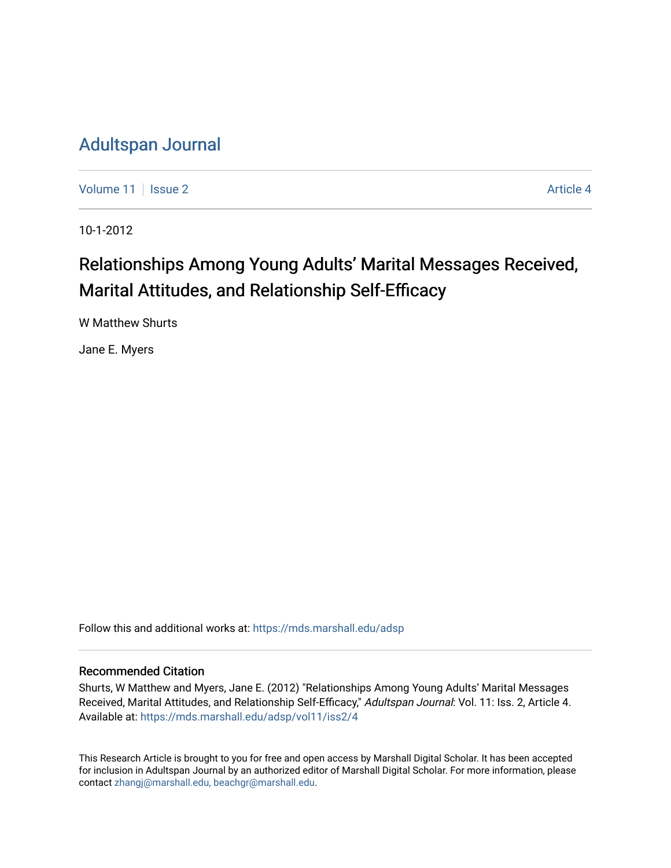# [Adultspan Journal](https://mds.marshall.edu/adsp)

[Volume 11](https://mds.marshall.edu/adsp/vol11) | [Issue 2](https://mds.marshall.edu/adsp/vol11/iss2) Article 4

10-1-2012

# Relationships Among Young Adults' Marital Messages Received, Marital Attitudes, and Relationship Self-Efficacy

W Matthew Shurts

Jane E. Myers

Follow this and additional works at: [https://mds.marshall.edu/adsp](https://mds.marshall.edu/adsp?utm_source=mds.marshall.edu%2Fadsp%2Fvol11%2Fiss2%2F4&utm_medium=PDF&utm_campaign=PDFCoverPages) 

## Recommended Citation

Shurts, W Matthew and Myers, Jane E. (2012) "Relationships Among Young Adults' Marital Messages Received, Marital Attitudes, and Relationship Self-Efficacy," Adultspan Journal: Vol. 11: Iss. 2, Article 4. Available at: [https://mds.marshall.edu/adsp/vol11/iss2/4](https://mds.marshall.edu/adsp/vol11/iss2/4?utm_source=mds.marshall.edu%2Fadsp%2Fvol11%2Fiss2%2F4&utm_medium=PDF&utm_campaign=PDFCoverPages) 

This Research Article is brought to you for free and open access by Marshall Digital Scholar. It has been accepted for inclusion in Adultspan Journal by an authorized editor of Marshall Digital Scholar. For more information, please contact [zhangj@marshall.edu, beachgr@marshall.edu](mailto:zhangj@marshall.edu,%20beachgr@marshall.edu).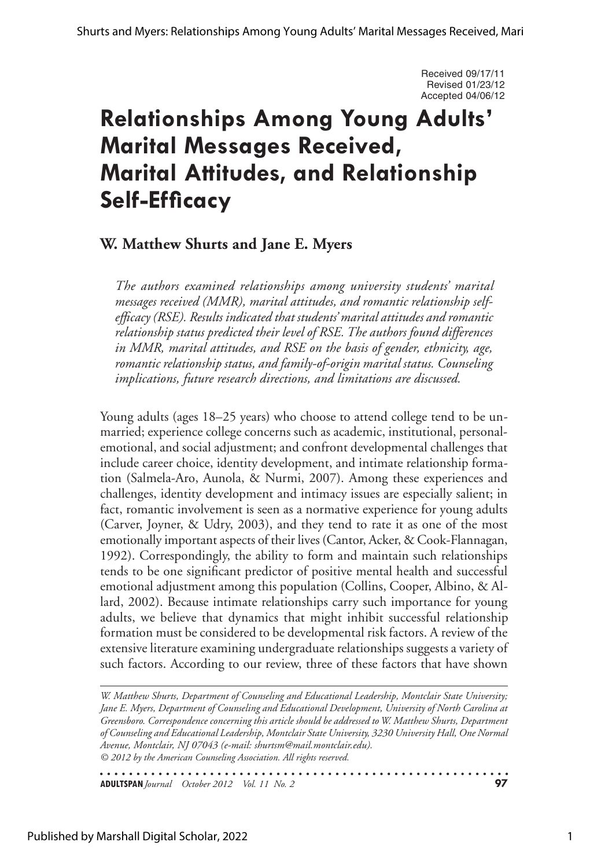Received 09/17/11 Revised 01/23/12 Accepted 04/06/12

# **Relationships Among Young Adults' Marital Messages Received, Marital Attitudes, and Relationship Self-Efficacy**

# **W. Matthew Shurts and Jane E. Myers**

*The authors examined relationships among university students' marital messages received (MMR), marital attitudes, and romantic relationship selfefficacy (RSE). Results indicated that students' marital attitudes and romantic relationship status predicted their level of RSE. The authors found differences in MMR, marital attitudes, and RSE on the basis of gender, ethnicity, age, romantic relationship status, and family-of-origin marital status. Counseling implications, future research directions, and limitations are discussed.*

Young adults (ages 18–25 years) who choose to attend college tend to be unmarried; experience college concerns such as academic, institutional, personalemotional, and social adjustment; and confront developmental challenges that include career choice, identity development, and intimate relationship formation (Salmela-Aro, Aunola, & Nurmi, 2007). Among these experiences and challenges, identity development and intimacy issues are especially salient; in fact, romantic involvement is seen as a normative experience for young adults (Carver, Joyner, & Udry, 2003), and they tend to rate it as one of the most emotionally important aspects of their lives (Cantor, Acker, & Cook-Flannagan, 1992). Correspondingly, the ability to form and maintain such relationships tends to be one significant predictor of positive mental health and successful emotional adjustment among this population (Collins, Cooper, Albino, & Allard, 2002). Because intimate relationships carry such importance for young adults, we believe that dynamics that might inhibit successful relationship formation must be considered to be developmental risk factors. A review of the extensive literature examining undergraduate relationships suggests a variety of such factors. According to our review, three of these factors that have shown

*© 2012 by the American Counseling Association. All rights reserved. W. Matthew Shurts, Department of Counseling and Educational Leadership, Montclair State University; Jane E. Myers, Department of Counseling and Educational Development, University of North Carolina at Greensboro. Correspondence concerning this article should be addressed to W. Matthew Shurts, Department of Counseling and Educational Leadership, Montclair State University, 3230 University Hall, One Normal Avenue, Montclair, NJ 07043 (e-mail: shurtsm@mail.montclair.edu).*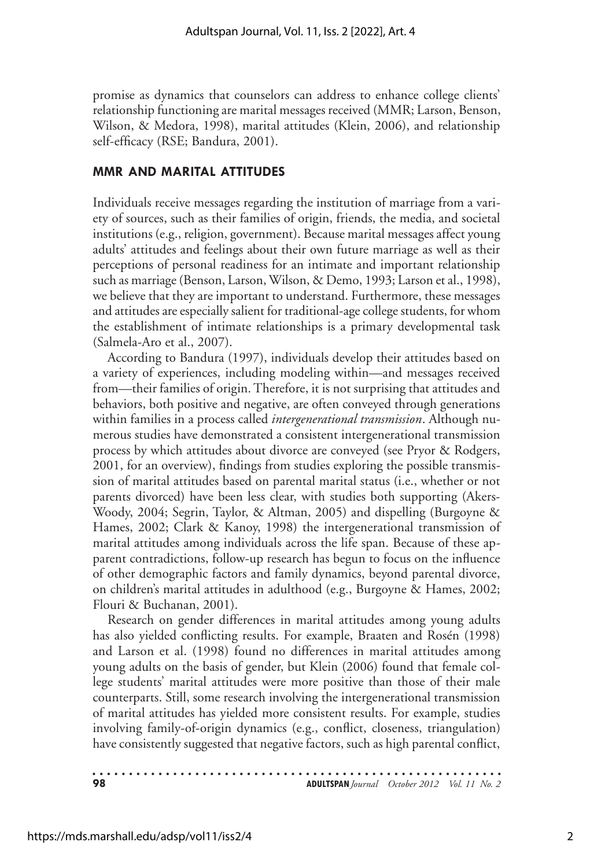promise as dynamics that counselors can address to enhance college clients' relationship functioning are marital messages received (MMR; Larson, Benson, Wilson, & Medora, 1998), marital attitudes (Klein, 2006), and relationship self-efficacy (RSE; Bandura, 2001).

#### **MMR and Marital Attitudes**

Individuals receive messages regarding the institution of marriage from a variety of sources, such as their families of origin, friends, the media, and societal institutions (e.g., religion, government). Because marital messages affect young adults' attitudes and feelings about their own future marriage as well as their perceptions of personal readiness for an intimate and important relationship such as marriage (Benson, Larson, Wilson, & Demo, 1993; Larson et al., 1998), we believe that they are important to understand. Furthermore, these messages and attitudes are especially salient for traditional-age college students, for whom the establishment of intimate relationships is a primary developmental task (Salmela-Aro et al., 2007).

According to Bandura (1997), individuals develop their attitudes based on a variety of experiences, including modeling within—and messages received from—their families of origin. Therefore, it is not surprising that attitudes and behaviors, both positive and negative, are often conveyed through generations within families in a process called *intergenerational transmission*. Although numerous studies have demonstrated a consistent intergenerational transmission process by which attitudes about divorce are conveyed (see Pryor & Rodgers, 2001, for an overview), findings from studies exploring the possible transmission of marital attitudes based on parental marital status (i.e., whether or not parents divorced) have been less clear, with studies both supporting (Akers-Woody, 2004; Segrin, Taylor, & Altman, 2005) and dispelling (Burgoyne & Hames, 2002; Clark & Kanoy, 1998) the intergenerational transmission of marital attitudes among individuals across the life span. Because of these apparent contradictions, follow-up research has begun to focus on the influence of other demographic factors and family dynamics, beyond parental divorce, on children's marital attitudes in adulthood (e.g., Burgoyne & Hames, 2002; Flouri & Buchanan, 2001).

Research on gender differences in marital attitudes among young adults has also yielded conflicting results. For example, Braaten and Rosén (1998) and Larson et al. (1998) found no differences in marital attitudes among young adults on the basis of gender, but Klein (2006) found that female college students' marital attitudes were more positive than those of their male counterparts. Still, some research involving the intergenerational transmission of marital attitudes has yielded more consistent results. For example, studies involving family-of-origin dynamics (e.g., conflict, closeness, triangulation) have consistently suggested that negative factors, such as high parental conflict,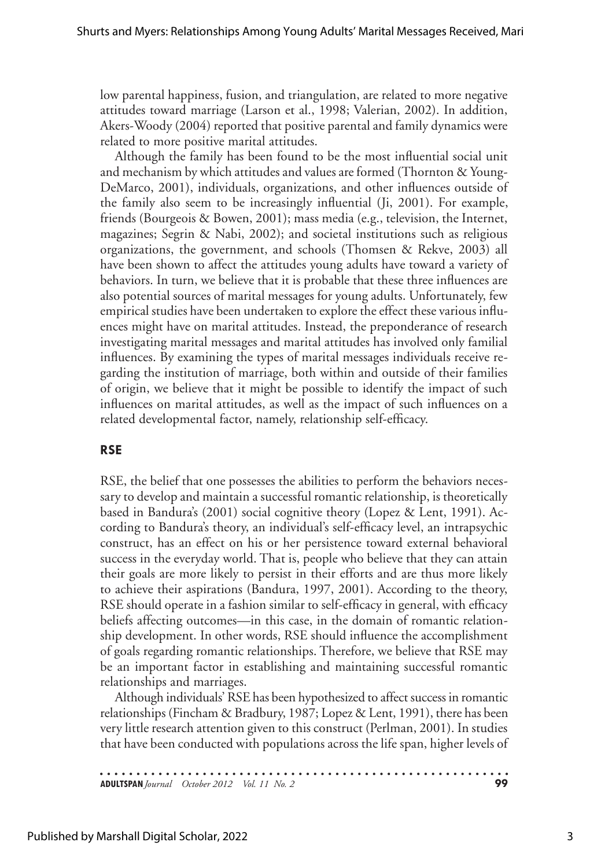low parental happiness, fusion, and triangulation, are related to more negative attitudes toward marriage (Larson et al., 1998; Valerian, 2002). In addition, Akers-Woody (2004) reported that positive parental and family dynamics were related to more positive marital attitudes.

Although the family has been found to be the most influential social unit and mechanism by which attitudes and values are formed (Thornton & Young-DeMarco, 2001), individuals, organizations, and other influences outside of the family also seem to be increasingly influential (Ji, 2001). For example, friends (Bourgeois & Bowen, 2001); mass media (e.g., television, the Internet, magazines; Segrin & Nabi, 2002); and societal institutions such as religious organizations, the government, and schools (Thomsen & Rekve, 2003) all have been shown to affect the attitudes young adults have toward a variety of behaviors. In turn, we believe that it is probable that these three influences are also potential sources of marital messages for young adults. Unfortunately, few empirical studies have been undertaken to explore the effect these various influences might have on marital attitudes. Instead, the preponderance of research investigating marital messages and marital attitudes has involved only familial influences. By examining the types of marital messages individuals receive regarding the institution of marriage, both within and outside of their families of origin, we believe that it might be possible to identify the impact of such influences on marital attitudes, as well as the impact of such influences on a related developmental factor, namely, relationship self-efficacy.

#### **RSE**

RSE, the belief that one possesses the abilities to perform the behaviors necessary to develop and maintain a successful romantic relationship, is theoretically based in Bandura's (2001) social cognitive theory (Lopez & Lent, 1991). According to Bandura's theory, an individual's self-efficacy level, an intrapsychic construct, has an effect on his or her persistence toward external behavioral success in the everyday world. That is, people who believe that they can attain their goals are more likely to persist in their efforts and are thus more likely to achieve their aspirations (Bandura, 1997, 2001). According to the theory, RSE should operate in a fashion similar to self-efficacy in general, with efficacy beliefs affecting outcomes—in this case, in the domain of romantic relationship development. In other words, RSE should influence the accomplishment of goals regarding romantic relationships. Therefore, we believe that RSE may be an important factor in establishing and maintaining successful romantic relationships and marriages.

Although individuals' RSE has been hypothesized to affect success in romantic relationships (Fincham & Bradbury, 1987; Lopez & Lent, 1991), there has been very little research attention given to this construct (Perlman, 2001). In studies that have been conducted with populations across the life span, higher levels of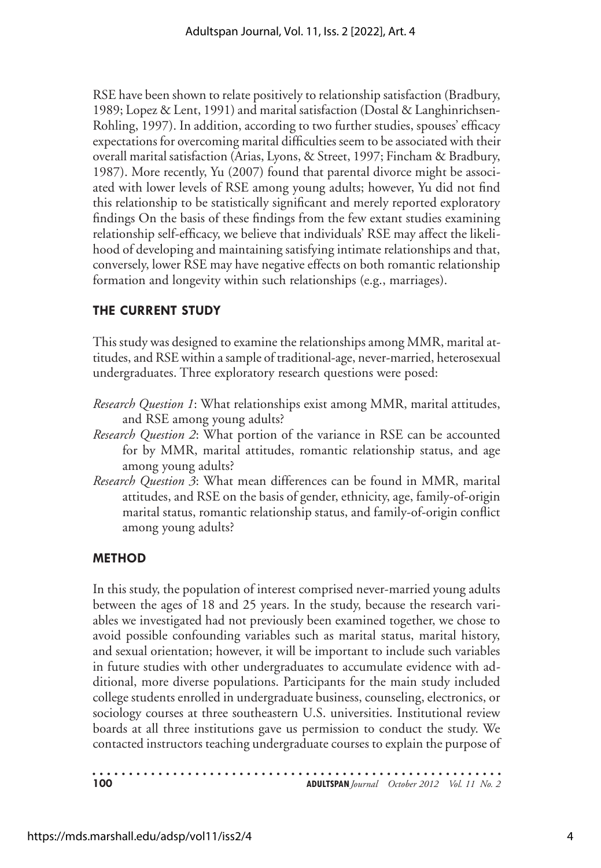RSE have been shown to relate positively to relationship satisfaction (Bradbury, 1989; Lopez & Lent, 1991) and marital satisfaction (Dostal & Langhinrichsen-Rohling, 1997). In addition, according to two further studies, spouses' efficacy expectations for overcoming marital difficulties seem to be associated with their overall marital satisfaction (Arias, Lyons, & Street, 1997; Fincham & Bradbury, 1987). More recently, Yu (2007) found that parental divorce might be associated with lower levels of RSE among young adults; however, Yu did not find this relationship to be statistically significant and merely reported exploratory findings On the basis of these findings from the few extant studies examining relationship self-efficacy, we believe that individuals' RSE may affect the likelihood of developing and maintaining satisfying intimate relationships and that, conversely, lower RSE may have negative effects on both romantic relationship formation and longevity within such relationships (e.g., marriages).

# **The Current Study**

This study was designed to examine the relationships among MMR, marital attitudes, and RSE within a sample of traditional-age, never-married, heterosexual undergraduates. Three exploratory research questions were posed:

- *Research Question 1*: What relationships exist among MMR, marital attitudes, and RSE among young adults?
- *Research Question 2*: What portion of the variance in RSE can be accounted for by MMR, marital attitudes, romantic relationship status, and age among young adults?
- *Research Question 3*: What mean differences can be found in MMR, marital attitudes, and RSE on the basis of gender, ethnicity, age, family-of-origin marital status, romantic relationship status, and family-of-origin conflict among young adults?

# **Method**

In this study, the population of interest comprised never-married young adults between the ages of 18 and 25 years. In the study, because the research variables we investigated had not previously been examined together, we chose to avoid possible confounding variables such as marital status, marital history, and sexual orientation; however, it will be important to include such variables in future studies with other undergraduates to accumulate evidence with additional, more diverse populations. Participants for the main study included college students enrolled in undergraduate business, counseling, electronics, or sociology courses at three southeastern U.S. universities. Institutional review boards at all three institutions gave us permission to conduct the study. We contacted instructors teaching undergraduate courses to explain the purpose of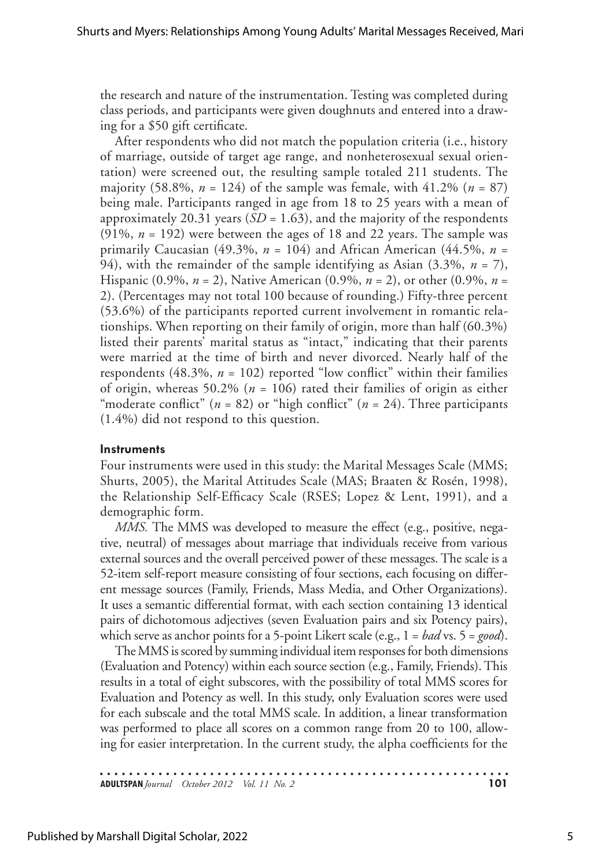the research and nature of the instrumentation. Testing was completed during class periods, and participants were given doughnuts and entered into a drawing for a \$50 gift certificate.

After respondents who did not match the population criteria (i.e., history of marriage, outside of target age range, and nonheterosexual sexual orientation) were screened out, the resulting sample totaled 211 students. The majority (58.8%,  $n = 124$ ) of the sample was female, with  $41.2\%$  ( $n = 87$ ) being male. Participants ranged in age from 18 to 25 years with a mean of approximately 20.31 years ( $SD = 1.63$ ), and the majority of the respondents (91%, *n* = 192) were between the ages of 18 and 22 years. The sample was primarily Caucasian (49.3%, *n* = 104) and African American (44.5%, *n* = 94), with the remainder of the sample identifying as Asian (3.3%, *n* = 7), Hispanic (0.9%, *n* = 2), Native American (0.9%, *n* = 2), or other (0.9%, *n* = 2). (Percentages may not total 100 because of rounding.) Fifty-three percent (53.6%) of the participants reported current involvement in romantic relationships. When reporting on their family of origin, more than half (60.3%) listed their parents' marital status as "intact," indicating that their parents were married at the time of birth and never divorced. Nearly half of the respondents (48.3%, *n* = 102) reported "low conflict" within their families of origin, whereas 50.2% (*n* = 106) rated their families of origin as either "moderate conflict"  $(n = 82)$  or "high conflict"  $(n = 24)$ . Three participants (1.4%) did not respond to this question.

#### **Instruments**

Four instruments were used in this study: the Marital Messages Scale (MMS; Shurts, 2005), the Marital Attitudes Scale (MAS; Braaten & Rosén, 1998), the Relationship Self-Efficacy Scale (RSES; Lopez & Lent, 1991), and a demographic form.

*MMS*. The MMS was developed to measure the effect (e.g., positive, negative, neutral) of messages about marriage that individuals receive from various external sources and the overall perceived power of these messages. The scale is a 52-item self-report measure consisting of four sections, each focusing on different message sources (Family, Friends, Mass Media, and Other Organizations). It uses a semantic differential format, with each section containing 13 identical pairs of dichotomous adjectives (seven Evaluation pairs and six Potency pairs), which serve as anchor points for a 5-point Likert scale (e.g., 1 = *bad* vs. 5 = *good*).

The MMS is scored by summing individual item responses for both dimensions (Evaluation and Potency) within each source section (e.g., Family, Friends). This results in a total of eight subscores, with the possibility of total MMS scores for Evaluation and Potency as well. In this study, only Evaluation scores were used for each subscale and the total MMS scale. In addition, a linear transformation was performed to place all scores on a common range from 20 to 100, allowing for easier interpretation. In the current study, the alpha coefficients for the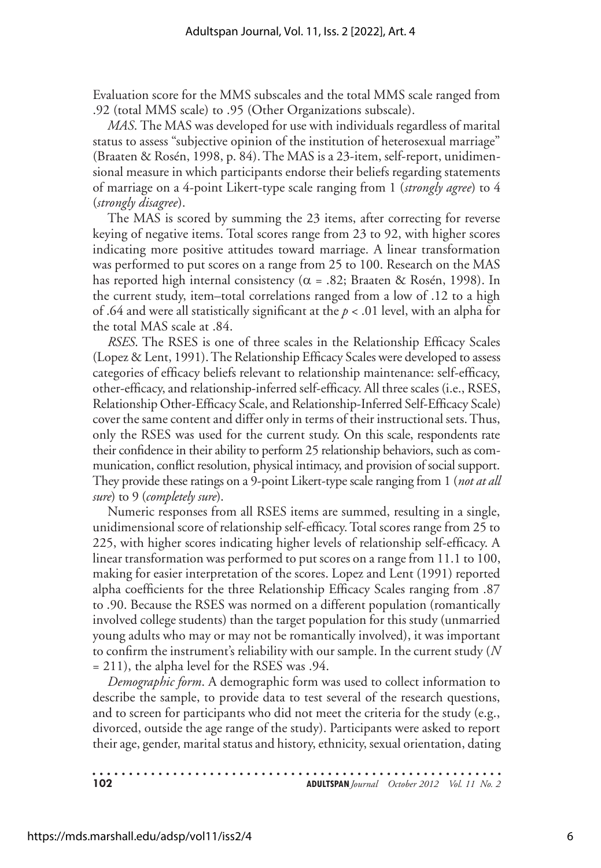Evaluation score for the MMS subscales and the total MMS scale ranged from .92 (total MMS scale) to .95 (Other Organizations subscale).

*MAS*. The MAS was developed for use with individuals regardless of marital status to assess "subjective opinion of the institution of heterosexual marriage" (Braaten & Rosén, 1998, p. 84). The MAS is a 23-item, self-report, unidimensional measure in which participants endorse their beliefs regarding statements of marriage on a 4-point Likert-type scale ranging from 1 (*strongly agree*) to 4 (*strongly disagree*).

The MAS is scored by summing the 23 items, after correcting for reverse keying of negative items. Total scores range from 23 to 92, with higher scores indicating more positive attitudes toward marriage. A linear transformation was performed to put scores on a range from 25 to 100. Research on the MAS has reported high internal consistency ( $\alpha$  = .82; Braaten & Rosén, 1998). In the current study, item–total correlations ranged from a low of .12 to a high of .64 and were all statistically significant at the *p* < .01 level, with an alpha for the total MAS scale at .84.

*RSES*. The RSES is one of three scales in the Relationship Efficacy Scales (Lopez & Lent, 1991). The Relationship Efficacy Scales were developed to assess categories of efficacy beliefs relevant to relationship maintenance: self-efficacy, other-efficacy, and relationship-inferred self-efficacy. All three scales (i.e., RSES, Relationship Other-Efficacy Scale, and Relationship-Inferred Self-Efficacy Scale) cover the same content and differ only in terms of their instructional sets. Thus, only the RSES was used for the current study. On this scale, respondents rate their confidence in their ability to perform 25 relationship behaviors, such as communication, conflict resolution, physical intimacy, and provision of social support. They provide these ratings on a 9-point Likert-type scale ranging from 1 (*not at all sure*) to 9 (*completely sure*).

Numeric responses from all RSES items are summed, resulting in a single, unidimensional score of relationship self-efficacy. Total scores range from 25 to 225, with higher scores indicating higher levels of relationship self-efficacy. A linear transformation was performed to put scores on a range from 11.1 to 100, making for easier interpretation of the scores. Lopez and Lent (1991) reported alpha coefficients for the three Relationship Efficacy Scales ranging from .87 to .90. Because the RSES was normed on a different population (romantically involved college students) than the target population for this study (unmarried young adults who may or may not be romantically involved), it was important to confirm the instrument's reliability with our sample. In the current study (*N* = 211), the alpha level for the RSES was .94.

*Demographic form*. A demographic form was used to collect information to describe the sample, to provide data to test several of the research questions, and to screen for participants who did not meet the criteria for the study (e.g., divorced, outside the age range of the study). Participants were asked to report their age, gender, marital status and history, ethnicity, sexual orientation, dating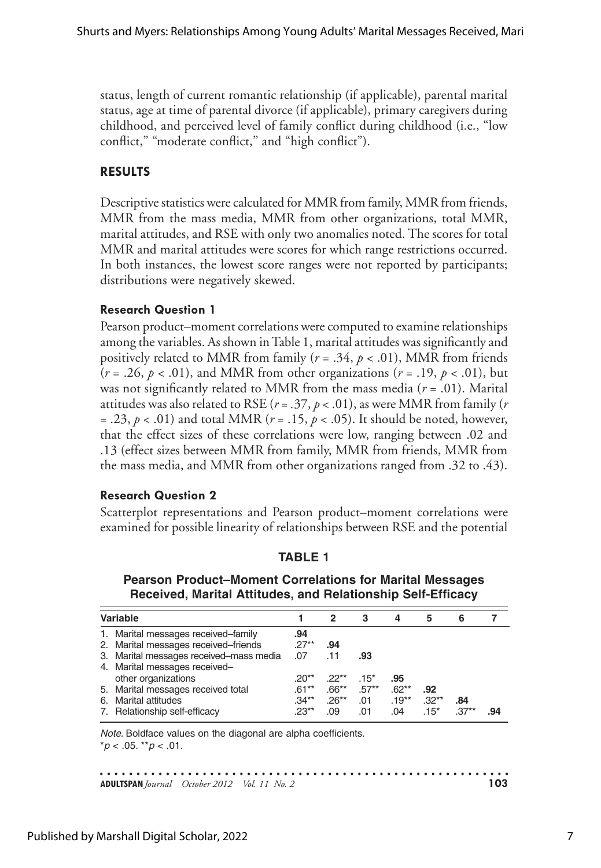status, length of current romantic relationship (if applicable), parental marital status, age at time of parental divorce (if applicable), primary caregivers during childhood, and perceived level of family conflict during childhood (i.e., "low conflict," "moderate conflict," and "high conflict").

## **Results**

Descriptive statistics were calculated for MMR from family, MMR from friends, MMR from the mass media, MMR from other organizations, total MMR, marital attitudes, and RSE with only two anomalies noted. The scores for total MMR and marital attitudes were scores for which range restrictions occurred. In both instances, the lowest score ranges were not reported by participants; distributions were negatively skewed.

#### **Research Question 1**

Pearson product–moment correlations were computed to examine relationships among the variables. As shown in Table 1, marital attitudes was significantly and positively related to MMR from family (*r* = .34, *p* < .01), MMR from friends (*r* = .26, *p* < .01), and MMR from other organizations (*r* = .19, *p* < .01), but was not significantly related to MMR from the mass media (*r* = .01). Marital attitudes was also related to RSE  $(r=.37, p < .01)$ , as were MMR from family  $(r)$ = .23, *p* < .01) and total MMR (*r* = .15, *p* < .05). It should be noted, however, that the effect sizes of these correlations were low, ranging between .02 and .13 (effect sizes between MMR from family, MMR from friends, MMR from the mass media, and MMR from other organizations ranged from .32 to .43).

## **Research Question 2**

Scatterplot representations and Pearson product–moment correlations were examined for possible linearity of relationships between RSE and the potential

#### **Table 1**

**Pearson Product–Moment Correlations for Marital Messages Received, Marital Attitudes, and Relationship Self-Efficacy**

| Variable |                                                                                                                        |                        | 2                   | 3              | 4                  | 5              | 6       |    |
|----------|------------------------------------------------------------------------------------------------------------------------|------------------------|---------------------|----------------|--------------------|----------------|---------|----|
|          | 1. Marital messages received-family<br>2. Marital messages received-friends<br>3. Marital messages received-mass media | .94<br>$.27***$<br>.07 | .94<br>.11          | .93            |                    |                |         |    |
|          | 4. Marital messages received-<br>other organizations                                                                   | $.20**$                | $.22**$             | $.15*$         | .95                |                |         |    |
|          | 5. Marital messages received total<br>6. Marital attitudes                                                             | $.61**$<br>$.34***$    | $.66***$<br>$.26**$ | $.57**$<br>.01 | $.62**$<br>$.19**$ | .92<br>$.32**$ | .84     |    |
|          | 7. Relationship self-efficacy                                                                                          | $.23**$                | .09                 | .01            | .04                | $.15*$         | $.37**$ | 94 |

*Note.* Boldface values on the diagonal are alpha coefficients. \**p* < .05. \*\**p* < .01.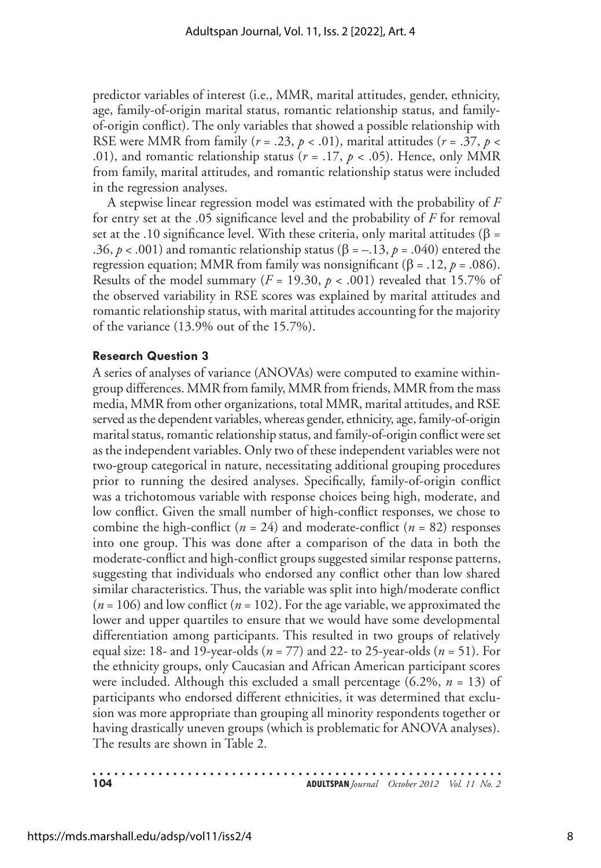predictor variables of interest (i.e., MMR, marital attitudes, gender, ethnicity, age, family-of-origin marital status, romantic relationship status, and familyof-origin conflict). The only variables that showed a possible relationship with RSE were MMR from family ( $r = .23$ ,  $p < .01$ ), marital attitudes ( $r = .37$ ,  $p <$ .01), and romantic relationship status ( $r = .17$ ,  $p < .05$ ). Hence, only MMR from family, marital attitudes, and romantic relationship status were included in the regression analyses.

A stepwise linear regression model was estimated with the probability of *F* for entry set at the .05 significance level and the probability of *F* for removal set at the .10 significance level. With these criteria, only marital attitudes ( $\beta$  = .36,  $p < .001$ ) and romantic relationship status ( $\beta = -.13$ ,  $p = .040$ ) entered the regression equation; MMR from family was nonsignificant (β = .12, *p* = .086). Results of the model summary ( $F = 19.30, p < .001$ ) revealed that 15.7% of the observed variability in RSE scores was explained by marital attitudes and romantic relationship status, with marital attitudes accounting for the majority of the variance (13.9% out of the 15.7%).

#### **Research Question 3**

A series of analyses of variance (ANOVAs) were computed to examine withingroup differences. MMR from family, MMR from friends, MMR from the mass media, MMR from other organizations, total MMR, marital attitudes, and RSE served as the dependent variables, whereas gender, ethnicity, age, family-of-origin marital status, romantic relationship status, and family-of-origin conflict were set as the independent variables. Only two of these independent variables were not two-group categorical in nature, necessitating additional grouping procedures prior to running the desired analyses. Specifically, family-of-origin conflict was a trichotomous variable with response choices being high, moderate, and low conflict. Given the small number of high-conflict responses, we chose to combine the high-conflict ( $n = 24$ ) and moderate-conflict ( $n = 82$ ) responses into one group. This was done after a comparison of the data in both the moderate-conflict and high-conflict groups suggested similar response patterns, suggesting that individuals who endorsed any conflict other than low shared similar characteristics. Thus, the variable was split into high/moderate conflict (*n* = 106) and low conflict (*n* = 102). For the age variable, we approximated the lower and upper quartiles to ensure that we would have some developmental differentiation among participants. This resulted in two groups of relatively equal size: 18- and 19-year-olds (*n* = 77) and 22- to 25-year-olds (*n* = 51). For the ethnicity groups, only Caucasian and African American participant scores were included. Although this excluded a small percentage (6.2%, *n* = 13) of participants who endorsed different ethnicities, it was determined that exclusion was more appropriate than grouping all minority respondents together or having drastically uneven groups (which is problematic for ANOVA analyses). The results are shown in Table 2.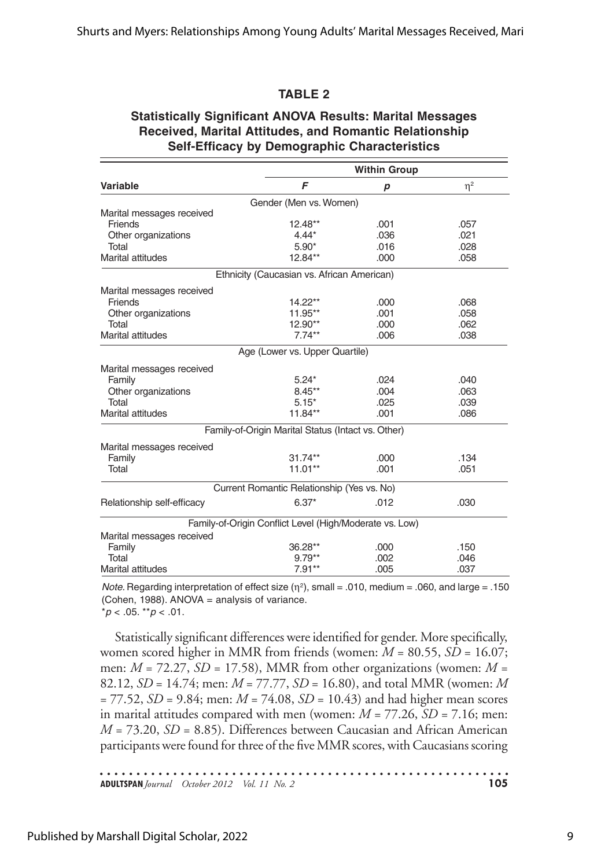#### **Table 2**

| <b>Statistically Significant ANOVA Results: Marital Messages</b> |
|------------------------------------------------------------------|
| Received, Marital Attitudes, and Romantic Relationship           |
| <b>Self-Efficacy by Demographic Characteristics</b>              |

|                            | <b>Within Group</b>                                     |      |          |  |
|----------------------------|---------------------------------------------------------|------|----------|--|
| Variable                   | F                                                       | p    | $\eta^2$ |  |
|                            | Gender (Men vs. Women)                                  |      |          |  |
| Marital messages received  |                                                         |      |          |  |
| Friends                    | $12.48**$                                               | .001 | .057     |  |
| Other organizations        | $4.44*$                                                 | .036 | .021     |  |
| Total                      | $5.90*$                                                 | .016 | .028     |  |
| <b>Marital attitudes</b>   | $12.84**$                                               | .000 | .058     |  |
|                            | Ethnicity (Caucasian vs. African American)              |      |          |  |
| Marital messages received  |                                                         |      |          |  |
| Friends                    | 14.22**                                                 | .000 | .068     |  |
| Other organizations        | 11.95**                                                 | .001 | .058     |  |
| Total                      | 12.90**                                                 | .000 | .062     |  |
| Marital attitudes          | $7.74**$                                                | .006 | .038     |  |
|                            | Age (Lower vs. Upper Quartile)                          |      |          |  |
| Marital messages received  |                                                         |      |          |  |
| Family                     | $5.24*$                                                 | .024 | .040     |  |
| Other organizations        | $8.45**$                                                | .004 | .063     |  |
| Total                      | $5.15*$                                                 | .025 | .039     |  |
| Marital attitudes          | $11.84**$                                               | .001 | .086     |  |
|                            | Family-of-Origin Marital Status (Intact vs. Other)      |      |          |  |
| Marital messages received  |                                                         |      |          |  |
| Family                     | $31.74**$                                               | .000 | .134     |  |
| Total                      | $11.01**$                                               | .001 | .051     |  |
|                            | Current Romantic Relationship (Yes vs. No)              |      |          |  |
| Relationship self-efficacy | $6.37*$                                                 | .012 | .030     |  |
|                            | Family-of-Origin Conflict Level (High/Moderate vs. Low) |      |          |  |
| Marital messages received  |                                                         |      |          |  |
| Family                     | 36.28**                                                 | .000 | .150     |  |
| Total                      | $9.79**$                                                | .002 | .046     |  |
| Marital attitudes          | $7.91**$                                                | .005 | .037     |  |

*Note.* Regarding interpretation of effect size  $(\eta^2)$ , small = .010, medium = .060, and large = .150 (Cohen, 1988). ANOVA = analysis of variance. \**p* < .05. \*\**p* < .01.

Statistically significant differences were identified for gender. More specifically, women scored higher in MMR from friends (women: *M* = 80.55, *SD* = 16.07; men:  $M = 72.27$ ,  $SD = 17.58$ ), MMR from other organizations (women:  $M =$ 82.12, *SD* = 14.74; men: *M* = 77.77, *SD* = 16.80), and total MMR (women: *M* = 77.52, *SD* = 9.84; men: *M* = 74.08, *SD* = 10.43) and had higher mean scores in marital attitudes compared with men (women: *M* = 77.26, *SD* = 7.16; men: *M* = 73.20, *SD* = 8.85). Differences between Caucasian and African American participants were found for three of the five MMR scores, with Caucasians scoring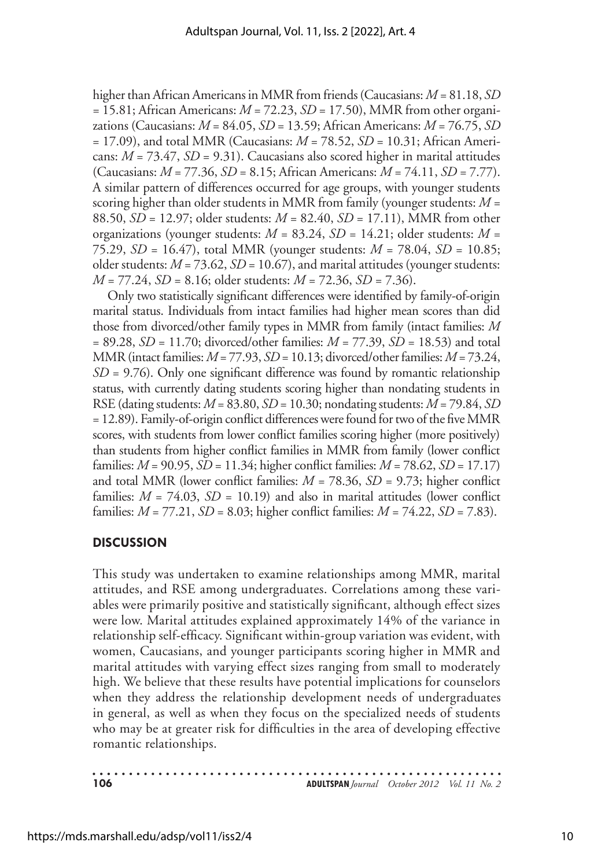higher than African Americans in MMR from friends (Caucasians: *M* = 81.18, *SD*  $= 15.81$ ; African Americans:  $M = 72.23$ ,  $SD = 17.50$ ), MMR from other organizations (Caucasians: *M* = 84.05, *SD* = 13.59; African Americans: *M* = 76.75, *SD* = 17.09), and total MMR (Caucasians: *M* = 78.52, *SD* = 10.31; African Americans: *M* = 73.47, *SD* = 9.31). Caucasians also scored higher in marital attitudes (Caucasians: *M* = 77.36, *SD* = 8.15; African Americans: *M* = 74.11, *SD* = 7.77). A similar pattern of differences occurred for age groups, with younger students scoring higher than older students in MMR from family (younger students: *M* = 88.50, *SD* = 12.97; older students: *M* = 82.40, *SD* = 17.11), MMR from other organizations (younger students:  $M = 83.24$ ,  $SD = 14.21$ ; older students:  $M =$ 75.29, *SD* = 16.47), total MMR (younger students: *M* = 78.04, *SD* = 10.85; older students:  $M = 73.62$ ,  $SD = 10.67$ ), and marital attitudes (younger students: *M* = 77.24, *SD* = 8.16; older students: *M* = 72.36, *SD* = 7.36).

Only two statistically significant differences were identified by family-of-origin marital status. Individuals from intact families had higher mean scores than did those from divorced/other family types in MMR from family (intact families: *M* = 89.28, *SD* = 11.70; divorced/other families: *M* = 77.39, *SD* = 18.53) and total MMR (intact families: *M* = 77.93, *SD* = 10.13; divorced/other families: *M* = 73.24, *SD* = 9.76). Only one significant difference was found by romantic relationship status, with currently dating students scoring higher than nondating students in RSE (dating students: *M* = 83.80, *SD* = 10.30; nondating students: *M* = 79.84, *SD* = 12.89). Family-of-origin conflict differences were found for two of the five MMR scores, with students from lower conflict families scoring higher (more positively) than students from higher conflict families in MMR from family (lower conflict families: *M* = 90.95, *SD* = 11.34; higher conflict families: *M* = 78.62, *SD* = 17.17) and total MMR (lower conflict families:  $M = 78.36$ ,  $SD = 9.73$ ; higher conflict families:  $M = 74.03$ ,  $SD = 10.19$ ) and also in marital attitudes (lower conflict families: *M* = 77.21, *SD* = 8.03; higher conflict families: *M* = 74.22, *SD* = 7.83).

#### **Discussion**

This study was undertaken to examine relationships among MMR, marital attitudes, and RSE among undergraduates. Correlations among these variables were primarily positive and statistically significant, although effect sizes were low. Marital attitudes explained approximately 14% of the variance in relationship self-efficacy. Significant within-group variation was evident, with women, Caucasians, and younger participants scoring higher in MMR and marital attitudes with varying effect sizes ranging from small to moderately high. We believe that these results have potential implications for counselors when they address the relationship development needs of undergraduates in general, as well as when they focus on the specialized needs of students who may be at greater risk for difficulties in the area of developing effective romantic relationships.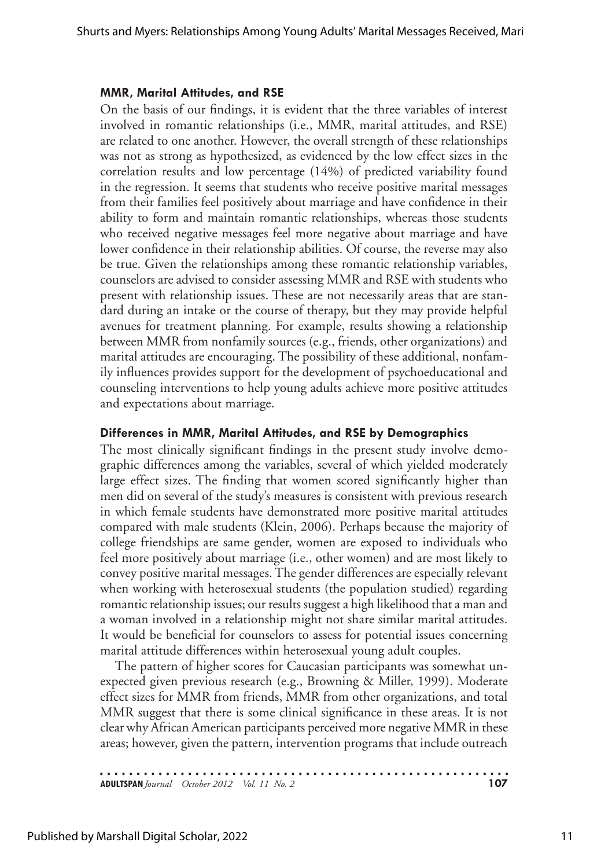#### **MMR, Marital Attitudes, and RSE**

On the basis of our findings, it is evident that the three variables of interest involved in romantic relationships (i.e., MMR, marital attitudes, and RSE) are related to one another. However, the overall strength of these relationships was not as strong as hypothesized, as evidenced by the low effect sizes in the correlation results and low percentage (14%) of predicted variability found in the regression. It seems that students who receive positive marital messages from their families feel positively about marriage and have confidence in their ability to form and maintain romantic relationships, whereas those students who received negative messages feel more negative about marriage and have lower confidence in their relationship abilities. Of course, the reverse may also be true. Given the relationships among these romantic relationship variables, counselors are advised to consider assessing MMR and RSE with students who present with relationship issues. These are not necessarily areas that are standard during an intake or the course of therapy, but they may provide helpful avenues for treatment planning. For example, results showing a relationship between MMR from nonfamily sources (e.g., friends, other organizations) and marital attitudes are encouraging. The possibility of these additional, nonfamily influences provides support for the development of psychoeducational and counseling interventions to help young adults achieve more positive attitudes and expectations about marriage.

#### **Differences in MMR, Marital Attitudes, and RSE by Demographics**

The most clinically significant findings in the present study involve demographic differences among the variables, several of which yielded moderately large effect sizes. The finding that women scored significantly higher than men did on several of the study's measures is consistent with previous research in which female students have demonstrated more positive marital attitudes compared with male students (Klein, 2006). Perhaps because the majority of college friendships are same gender, women are exposed to individuals who feel more positively about marriage (i.e., other women) and are most likely to convey positive marital messages. The gender differences are especially relevant when working with heterosexual students (the population studied) regarding romantic relationship issues; our results suggest a high likelihood that a man and a woman involved in a relationship might not share similar marital attitudes. It would be beneficial for counselors to assess for potential issues concerning marital attitude differences within heterosexual young adult couples.

The pattern of higher scores for Caucasian participants was somewhat unexpected given previous research (e.g., Browning & Miller, 1999). Moderate effect sizes for MMR from friends, MMR from other organizations, and total MMR suggest that there is some clinical significance in these areas. It is not clear why African American participants perceived more negative MMR in these areas; however, given the pattern, intervention programs that include outreach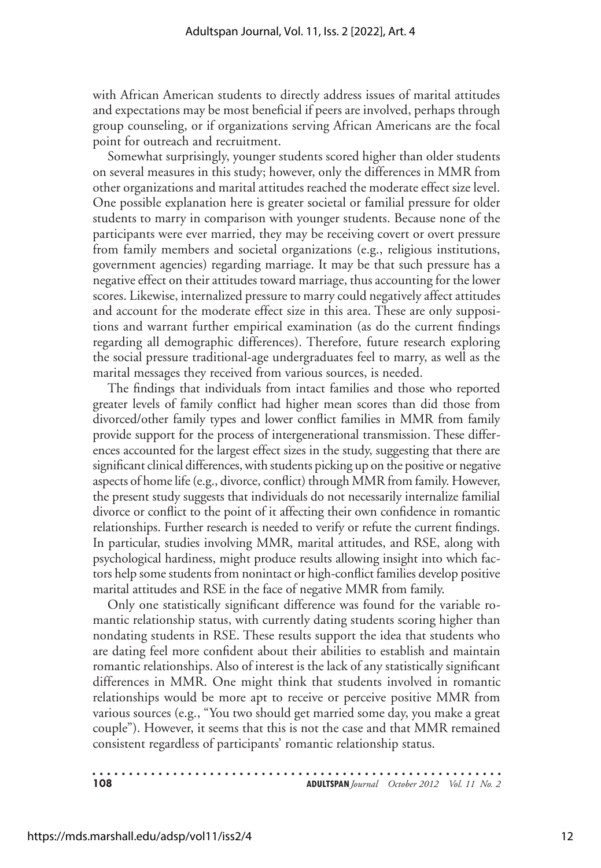with African American students to directly address issues of marital attitudes and expectations may be most beneficial if peers are involved, perhaps through group counseling, or if organizations serving African Americans are the focal point for outreach and recruitment.

Somewhat surprisingly, younger students scored higher than older students on several measures in this study; however, only the differences in MMR from other organizations and marital attitudes reached the moderate effect size level. One possible explanation here is greater societal or familial pressure for older students to marry in comparison with younger students. Because none of the participants were ever married, they may be receiving covert or overt pressure from family members and societal organizations (e.g., religious institutions, government agencies) regarding marriage. It may be that such pressure has a negative effect on their attitudes toward marriage, thus accounting for the lower scores. Likewise, internalized pressure to marry could negatively affect attitudes and account for the moderate effect size in this area. These are only suppositions and warrant further empirical examination (as do the current findings regarding all demographic differences). Therefore, future research exploring the social pressure traditional-age undergraduates feel to marry, as well as the marital messages they received from various sources, is needed.

The findings that individuals from intact families and those who reported greater levels of family conflict had higher mean scores than did those from divorced/other family types and lower conflict families in MMR from family provide support for the process of intergenerational transmission. These differences accounted for the largest effect sizes in the study, suggesting that there are significant clinical differences, with students picking up on the positive or negative aspects of home life (e.g., divorce, conflict) through MMR from family. However, the present study suggests that individuals do not necessarily internalize familial divorce or conflict to the point of it affecting their own confidence in romantic relationships. Further research is needed to verify or refute the current findings. In particular, studies involving MMR, marital attitudes, and RSE, along with psychological hardiness, might produce results allowing insight into which factors help some students from nonintact or high-conflict families develop positive marital attitudes and RSE in the face of negative MMR from family.

Only one statistically significant difference was found for the variable romantic relationship status, with currently dating students scoring higher than nondating students in RSE. These results support the idea that students who are dating feel more confident about their abilities to establish and maintain romantic relationships. Also of interest is the lack of any statistically significant differences in MMR. One might think that students involved in romantic relationships would be more apt to receive or perceive positive MMR from various sources (e.g., "You two should get married some day, you make a great couple"). However, it seems that this is not the case and that MMR remained consistent regardless of participants' romantic relationship status.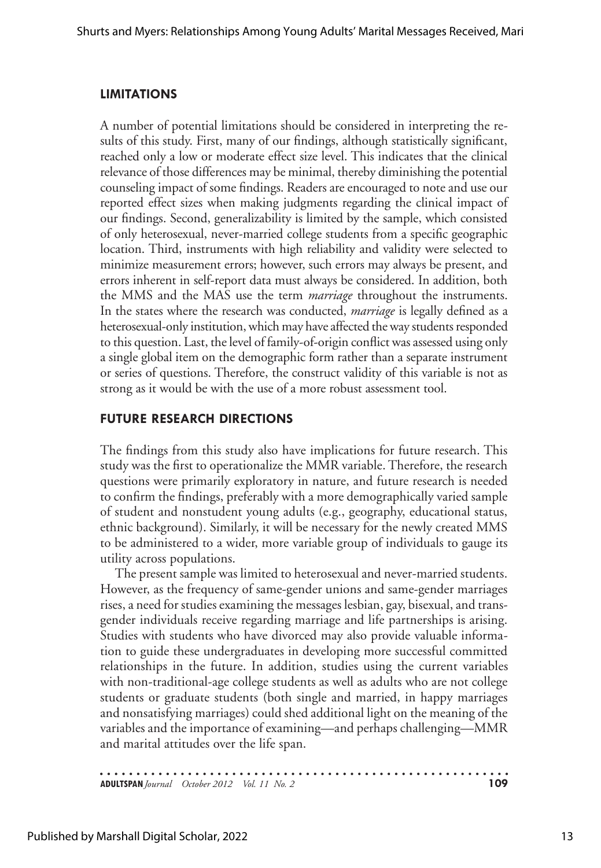## **Limitations**

A number of potential limitations should be considered in interpreting the results of this study. First, many of our findings, although statistically significant, reached only a low or moderate effect size level. This indicates that the clinical relevance of those differences may be minimal, thereby diminishing the potential counseling impact of some findings. Readers are encouraged to note and use our reported effect sizes when making judgments regarding the clinical impact of our findings. Second, generalizability is limited by the sample, which consisted of only heterosexual, never-married college students from a specific geographic location. Third, instruments with high reliability and validity were selected to minimize measurement errors; however, such errors may always be present, and errors inherent in self-report data must always be considered. In addition, both the MMS and the MAS use the term *marriage* throughout the instruments. In the states where the research was conducted, *marriage* is legally defined as a heterosexual-only institution, which may have affected the way students responded to this question. Last, the level of family-of-origin conflict was assessed using only a single global item on the demographic form rather than a separate instrument or series of questions. Therefore, the construct validity of this variable is not as strong as it would be with the use of a more robust assessment tool.

#### **Future Research Directions**

The findings from this study also have implications for future research. This study was the first to operationalize the MMR variable. Therefore, the research questions were primarily exploratory in nature, and future research is needed to confirm the findings, preferably with a more demographically varied sample of student and nonstudent young adults (e.g., geography, educational status, ethnic background). Similarly, it will be necessary for the newly created MMS to be administered to a wider, more variable group of individuals to gauge its utility across populations.

The present sample was limited to heterosexual and never-married students. However, as the frequency of same-gender unions and same-gender marriages rises, a need for studies examining the messages lesbian, gay, bisexual, and transgender individuals receive regarding marriage and life partnerships is arising. Studies with students who have divorced may also provide valuable information to guide these undergraduates in developing more successful committed relationships in the future. In addition, studies using the current variables with non-traditional-age college students as well as adults who are not college students or graduate students (both single and married, in happy marriages and nonsatisfying marriages) could shed additional light on the meaning of the variables and the importance of examining—and perhaps challenging—MMR and marital attitudes over the life span.

| <b>ADULTSPAN</b> Journal October 2012 Vol. 11 No. 2 |  | 109 |
|-----------------------------------------------------|--|-----|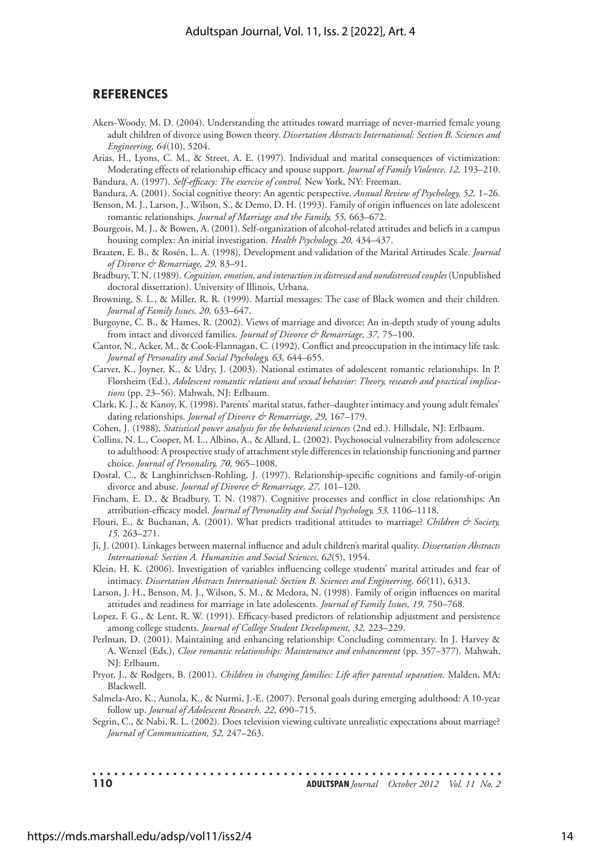#### **References**

- Akers-Woody, M. D. (2004). Understanding the attitudes toward marriage of never-married female young adult children of divorce using Bowen theory. *Dissertation Abstracts International: Section B. Sciences and Engineering, 64*(10), 5204.
- Arias, H., Lyons, C. M., & Street, A. E. (1997). Individual and marital consequences of victimization: Moderating effects of relationship efficacy and spouse support. *Journal of Family Violence, 12,* 193–210. Bandura, A. (1997). *Self-efficacy: The exercise of control.* New York, NY: Freeman.
- Bandura, A. (2001). Social cognitive theory: An agentic perspective. *Annual Review of Psychology, 52,* 1–26.
- Benson, M. J., Larson, J., Wilson, S., & Demo, D. H. (1993). Family of origin influences on late adolescent romantic relationships. *Journal of Marriage and the Family, 55,* 663–672.
- Bourgeois, M. J., & Bowen, A. (2001). Self-organization of alcohol-related attitudes and beliefs in a campus housing complex: An initial investigation. *Health Psychology, 20,* 434–437.
- Braaten, E. B., & Rosén, L. A. (1998). Development and validation of the Marital Attitudes Scale. *Journal of Divorce & Remarriage, 29,* 83–91.
- Bradbury, T. N. (1989). *Cognition, emotion, and interaction in distressed and nondistressed couples* (Unpublished doctoral dissertation). University of Illinois, Urbana.
- Browning, S. L., & Miller, R. R. (1999). Martial messages: The case of Black women and their children. *Journal of Family Issues, 20,* 633–647.
- Burgoyne, C. B., & Hames, R. (2002). Views of marriage and divorce: An in-depth study of young adults from intact and divorced families. *Journal of Divorce & Remarriage, 37,* 75–100.
- Cantor, N., Acker, M., & Cook-Flannagan, C. (1992). Conflict and preoccupation in the intimacy life task. *Journal of Personality and Social Psychology, 63,* 644–655.
- Carver, K., Joyner, K., & Udry, J. (2003). National estimates of adolescent romantic relationships. In P. Florsheim (Ed.), *Adolescent romantic relations and sexual behavior: Theory, research and practical implications* (pp. 23–56). Mahwah, NJ: Erlbaum.
- Clark, K. J., & Kanoy, K. (1998). Parents' marital status, father–daughter intimacy and young adult females' dating relationships. *Journal of Divorce & Remarriage, 29,* 167–179.
- Cohen, J. (1988). *Statistical power analysis for the behavioral sciences* (2nd ed.). Hillsdale, NJ: Erlbaum.
- Collins, N. L., Cooper, M. L., Albino, A., & Allard, L. (2002). Psychosocial vulnerability from adolescence to adulthood: A prospective study of attachment style differences in relationship functioning and partner choice. *Journal of Personality, 70,* 965–1008.
- Dostal, C., & Langhinrichsen-Rohling, J. (1997). Relationship-specific cognitions and family-of-origin divorce and abuse. *Journal of Divorce & Remarriage, 27,* 101–120.
- Fincham, E. D., & Bradbury, T. N. (1987). Cognitive processes and conflict in close relationships: An attribution-efficacy model. *Journal of Personality and Social Psychology, 53,* 1106–1118.
- Flouri, E., & Buchanan, A. (2001). What predicts traditional attitudes to marriage? *Children & Society*, *15,* 263–271.
- Ji, J. (2001). Linkages between maternal influence and adult children's marital quality. *Dissertation Abstracts International: Section A. Humanities and Social Sciences, 62*(5), 1954.
- Klein, H. K. (2006). Investigation of variables influencing college students' marital attitudes and fear of intimacy. *Dissertation Abstracts International: Section B. Sciences and Engineering, 66*(11), 6313.
- Larson, J. H., Benson, M. J., Wilson, S. M., & Medora, N. (1998). Family of origin influences on marital attitudes and readiness for marriage in late adolescents. *Journal of Family Issues, 19,* 750–768.

Lopez, F. G., & Lent, R. W. (1991). Efficacy-based predictors of relationship adjustment and persistence among college students. *Journal of College Student Development, 32,* 223–229.

- Perlman, D. (2001). Maintaining and enhancing relationship: Concluding commentary. In J. Harvey & A. Wenzel (Eds.), *Close romantic relationships: Maintenance and enhancement* (pp. 357–377). Mahwah, NJ: Erlbaum.
- Pryor, J., & Rodgers, B. (2001). *Children in changing families: Life after parental separation.* Malden, MA: Blackwell.
- Salmela-Aro, K., Aunola, K., & Nurmi, J.-E. (2007). Personal goals during emerging adulthood: A 10-year follow up. *Journal of Adolescent Research, 22,* 690–715.
- Segrin, C., & Nabi, R. L. (2002). Does television viewing cultivate unrealistic expectations about marriage? *Journal of Communication, 52,* 247–263.